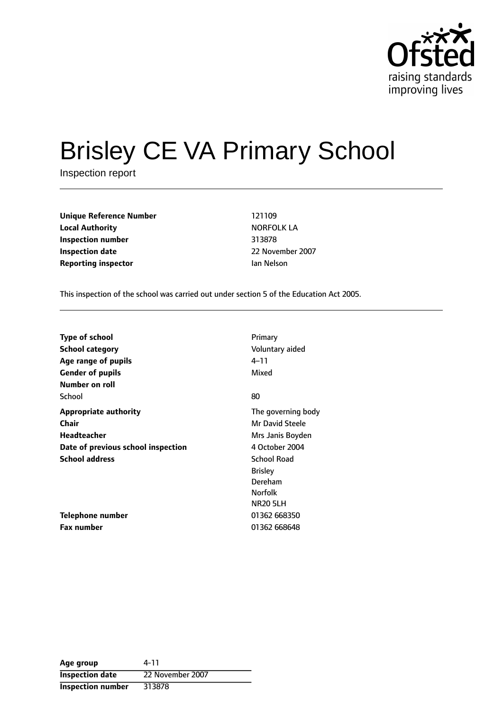

# Brisley CE VA Primary School

Inspection report

| <b>Unique Reference Number</b> | 121109         |
|--------------------------------|----------------|
| <b>Local Authority</b>         | <b>NORFOLK</b> |
| Inspection number              | 313878         |
| <b>Inspection date</b>         | 22 Novemb      |
| <b>Reporting inspector</b>     | Ian Nelson     |

**Unique Reference Number** 121109 **Local Authority** NORFOLK LA **Inspection number** 313878 **Inspection date** 22 November 2007

This inspection of the school was carried out under section 5 of the Education Act 2005.

| <b>Type of school</b>              | Primary                |
|------------------------------------|------------------------|
| <b>School category</b>             | Voluntary aided        |
| Age range of pupils                | 4–11                   |
| <b>Gender of pupils</b>            | Mixed                  |
| Number on roll                     |                        |
| School                             | 80                     |
| Appropriate authority              | The governing body     |
| Chair                              | <b>Mr David Steele</b> |
| <b>Headteacher</b>                 | Mrs Janis Boyden       |
| Date of previous school inspection | 4 October 2004         |
| <b>School address</b>              | <b>School Road</b>     |
|                                    | <b>Brisley</b>         |
|                                    | Dereham                |
|                                    | <b>Norfolk</b>         |
|                                    | <b>NR20 5LH</b>        |
| Telephone number                   | 01362 668350           |
| <b>Fax number</b>                  | 01362 668648           |

| Age group                | 4-11             |
|--------------------------|------------------|
| <b>Inspection date</b>   | 22 November 2007 |
| <b>Inspection number</b> | 313878           |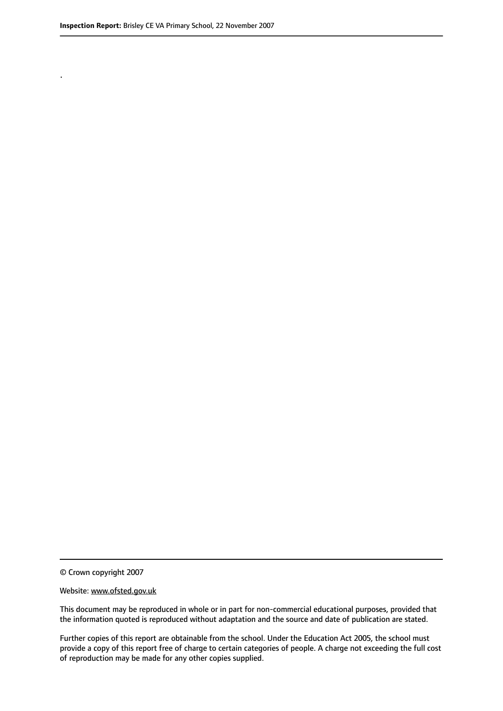.

© Crown copyright 2007

#### Website: www.ofsted.gov.uk

This document may be reproduced in whole or in part for non-commercial educational purposes, provided that the information quoted is reproduced without adaptation and the source and date of publication are stated.

Further copies of this report are obtainable from the school. Under the Education Act 2005, the school must provide a copy of this report free of charge to certain categories of people. A charge not exceeding the full cost of reproduction may be made for any other copies supplied.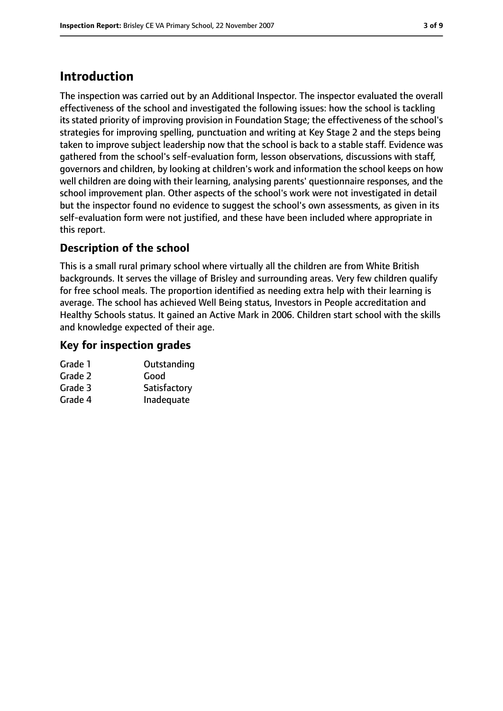# **Introduction**

The inspection was carried out by an Additional Inspector. The inspector evaluated the overall effectiveness of the school and investigated the following issues: how the school is tackling its stated priority of improving provision in Foundation Stage; the effectiveness of the school's strategies for improving spelling, punctuation and writing at Key Stage 2 and the steps being taken to improve subject leadership now that the school is back to a stable staff. Evidence was gathered from the school's self-evaluation form, lesson observations, discussions with staff, governors and children, by looking at children's work and information the school keeps on how well children are doing with their learning, analysing parents' questionnaire responses, and the school improvement plan. Other aspects of the school's work were not investigated in detail but the inspector found no evidence to suggest the school's own assessments, as given in its self-evaluation form were not justified, and these have been included where appropriate in this report.

# **Description of the school**

This is a small rural primary school where virtually all the children are from White British backgrounds. It serves the village of Brisley and surrounding areas. Very few children qualify for free school meals. The proportion identified as needing extra help with their learning is average. The school has achieved Well Being status, Investors in People accreditation and Healthy Schools status. It gained an Active Mark in 2006. Children start school with the skills and knowledge expected of their age.

# **Key for inspection grades**

| Grade 1 | Outstanding  |
|---------|--------------|
| Grade 2 | Good         |
| Grade 3 | Satisfactory |
| Grade 4 | Inadequate   |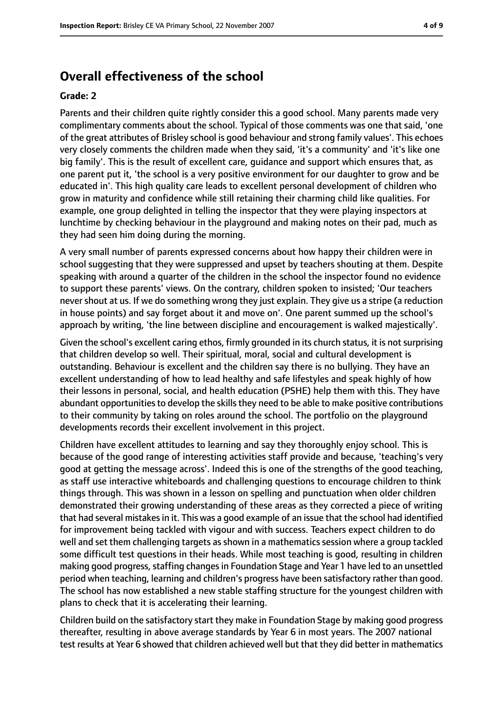# **Overall effectiveness of the school**

#### **Grade: 2**

Parents and their children quite rightly consider this a good school. Many parents made very complimentary comments about the school. Typical of those comments was one that said, 'one of the great attributes of Brisley school is good behaviour and strong family values'. This echoes very closely comments the children made when they said, 'it's a community' and 'it's like one big family'. This is the result of excellent care, guidance and support which ensures that, as one parent put it, 'the school is a very positive environment for our daughter to grow and be educated in'. This high quality care leads to excellent personal development of children who grow in maturity and confidence while still retaining their charming child like qualities. For example, one group delighted in telling the inspector that they were playing inspectors at lunchtime by checking behaviour in the playground and making notes on their pad, much as they had seen him doing during the morning.

A very small number of parents expressed concerns about how happy their children were in school suggesting that they were suppressed and upset by teachers shouting at them. Despite speaking with around a quarter of the children in the school the inspector found no evidence to support these parents' views. On the contrary, children spoken to insisted; 'Our teachers never shout at us. If we do something wrong they just explain. They give us a stripe (a reduction in house points) and say forget about it and move on'. One parent summed up the school's approach by writing, 'the line between discipline and encouragement is walked majestically'.

Given the school's excellent caring ethos, firmly grounded in its church status, it is not surprising that children develop so well. Their spiritual, moral, social and cultural development is outstanding. Behaviour is excellent and the children say there is no bullying. They have an excellent understanding of how to lead healthy and safe lifestyles and speak highly of how their lessons in personal, social, and health education (PSHE) help them with this. They have abundant opportunities to develop the skills they need to be able to make positive contributions to their community by taking on roles around the school. The portfolio on the playground developments records their excellent involvement in this project.

Children have excellent attitudes to learning and say they thoroughly enjoy school. This is because of the good range of interesting activities staff provide and because, 'teaching's very good at getting the message across'. Indeed this is one of the strengths of the good teaching, as staff use interactive whiteboards and challenging questions to encourage children to think things through. This was shown in a lesson on spelling and punctuation when older children demonstrated their growing understanding of these areas as they corrected a piece of writing that had several mistakes in it. This was a good example of an issue that the school had identified for improvement being tackled with vigour and with success. Teachers expect children to do well and set them challenging targets as shown in a mathematics session where a group tackled some difficult test questions in their heads. While most teaching is good, resulting in children making good progress, staffing changes in Foundation Stage and Year 1 have led to an unsettled period when teaching, learning and children's progress have been satisfactory rather than good. The school has now established a new stable staffing structure for the youngest children with plans to check that it is accelerating their learning.

Children build on the satisfactory start they make in Foundation Stage by making good progress thereafter, resulting in above average standards by Year 6 in most years. The 2007 national test results at Year 6 showed that children achieved well but that they did better in mathematics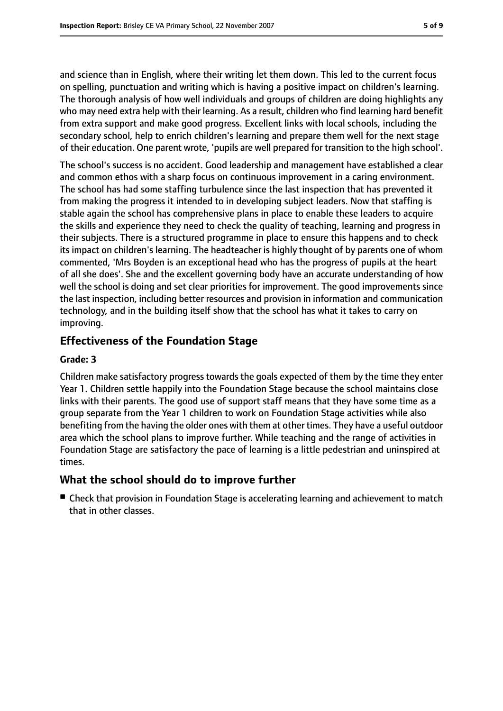and science than in English, where their writing let them down. This led to the current focus on spelling, punctuation and writing which is having a positive impact on children's learning. The thorough analysis of how well individuals and groups of children are doing highlights any who may need extra help with their learning. As a result, children who find learning hard benefit from extra support and make good progress. Excellent links with local schools, including the secondary school, help to enrich children's learning and prepare them well for the next stage of their education. One parent wrote, 'pupils are well prepared for transition to the high school'.

The school's success is no accident. Good leadership and management have established a clear and common ethos with a sharp focus on continuous improvement in a caring environment. The school has had some staffing turbulence since the last inspection that has prevented it from making the progress it intended to in developing subject leaders. Now that staffing is stable again the school has comprehensive plans in place to enable these leaders to acquire the skills and experience they need to check the quality of teaching, learning and progress in their subjects. There is a structured programme in place to ensure this happens and to check its impact on children's learning. The headteacher is highly thought of by parents one of whom commented, 'Mrs Boyden is an exceptional head who has the progress of pupils at the heart of all she does'. She and the excellent governing body have an accurate understanding of how well the school is doing and set clear priorities for improvement. The good improvements since the last inspection, including better resources and provision in information and communication technology, and in the building itself show that the school has what it takes to carry on improving.

## **Effectiveness of the Foundation Stage**

#### **Grade: 3**

Children make satisfactory progress towards the goals expected of them by the time they enter Year 1. Children settle happily into the Foundation Stage because the school maintains close links with their parents. The good use of support staff means that they have some time as a group separate from the Year 1 children to work on Foundation Stage activities while also benefiting from the having the older ones with them at other times. They have a useful outdoor area which the school plans to improve further. While teaching and the range of activities in Foundation Stage are satisfactory the pace of learning is a little pedestrian and uninspired at times.

## **What the school should do to improve further**

■ Check that provision in Foundation Stage is accelerating learning and achievement to match that in other classes.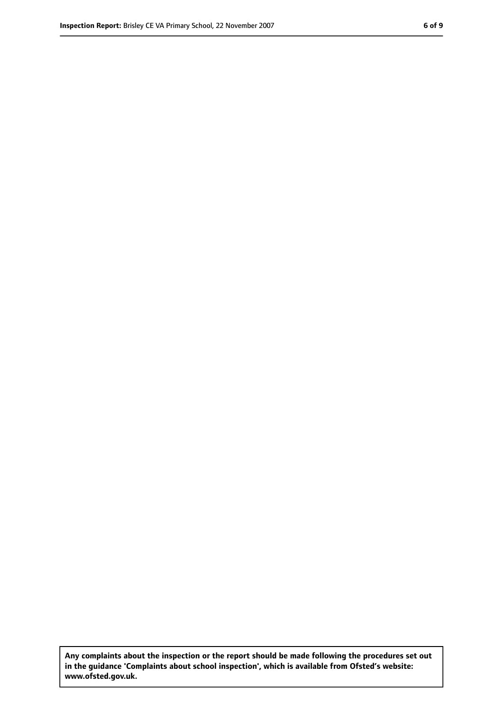**Any complaints about the inspection or the report should be made following the procedures set out in the guidance 'Complaints about school inspection', which is available from Ofsted's website: www.ofsted.gov.uk.**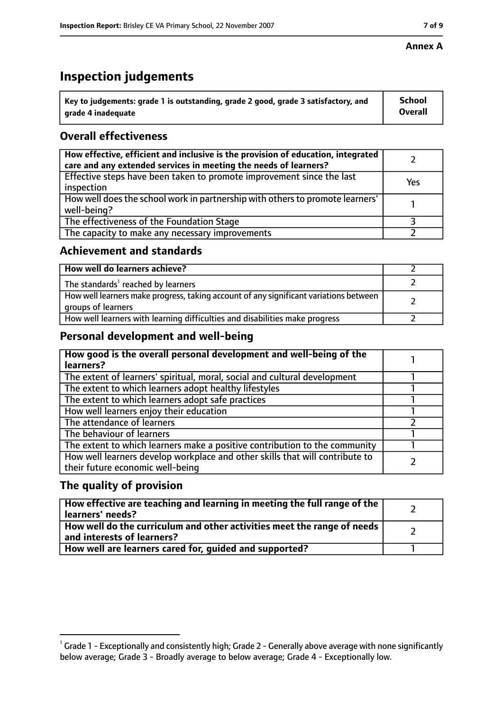## **Annex A**

# **Inspection judgements**

| Key to judgements: grade 1 is outstanding, grade 2 good, grade 3 satisfactory, and | <b>School</b>  |
|------------------------------------------------------------------------------------|----------------|
| grade 4 inadequate                                                                 | <b>Overall</b> |

# **Overall effectiveness**

| How effective, efficient and inclusive is the provision of education, integrated<br>care and any extended services in meeting the needs of learners? |     |
|------------------------------------------------------------------------------------------------------------------------------------------------------|-----|
| Effective steps have been taken to promote improvement since the last<br>inspection                                                                  | Yes |
| How well does the school work in partnership with others to promote learners'<br>well-being?                                                         |     |
| The effectiveness of the Foundation Stage                                                                                                            |     |
| The capacity to make any necessary improvements                                                                                                      |     |

## **Achievement and standards**

| How well do learners achieve?                                                                               |  |
|-------------------------------------------------------------------------------------------------------------|--|
| The standards <sup>1</sup> reached by learners                                                              |  |
| How well learners make progress, taking account of any significant variations between<br>groups of learners |  |
| How well learners with learning difficulties and disabilities make progress                                 |  |

# **Personal development and well-being**

| How good is the overall personal development and well-being of the<br>learners?                                  |  |
|------------------------------------------------------------------------------------------------------------------|--|
| The extent of learners' spiritual, moral, social and cultural development                                        |  |
| The extent to which learners adopt healthy lifestyles                                                            |  |
| The extent to which learners adopt safe practices                                                                |  |
| How well learners enjoy their education                                                                          |  |
| The attendance of learners                                                                                       |  |
| The behaviour of learners                                                                                        |  |
| The extent to which learners make a positive contribution to the community                                       |  |
| How well learners develop workplace and other skills that will contribute to<br>their future economic well-being |  |

# **The quality of provision**

| How effective are teaching and learning in meeting the full range of the<br>learners' needs?          |  |
|-------------------------------------------------------------------------------------------------------|--|
| How well do the curriculum and other activities meet the range of needs<br>and interests of learners? |  |
| How well are learners cared for, quided and supported?                                                |  |

 $^1$  Grade 1 - Exceptionally and consistently high; Grade 2 - Generally above average with none significantly below average; Grade 3 - Broadly average to below average; Grade 4 - Exceptionally low.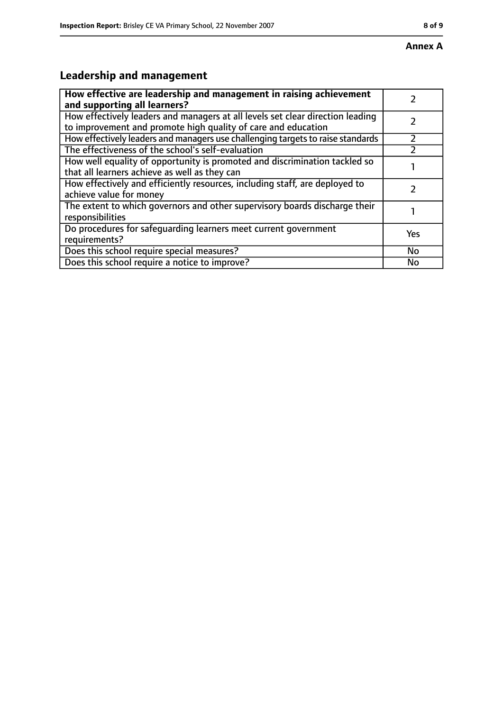# **Leadership and management**

| How effective are leadership and management in raising achievement              |     |
|---------------------------------------------------------------------------------|-----|
| and supporting all learners?                                                    |     |
| How effectively leaders and managers at all levels set clear direction leading  |     |
| to improvement and promote high quality of care and education                   |     |
| How effectively leaders and managers use challenging targets to raise standards |     |
| The effectiveness of the school's self-evaluation                               |     |
| How well equality of opportunity is promoted and discrimination tackled so      |     |
| that all learners achieve as well as they can                                   |     |
| How effectively and efficiently resources, including staff, are deployed to     |     |
| achieve value for money                                                         |     |
| The extent to which governors and other supervisory boards discharge their      |     |
| responsibilities                                                                |     |
| Do procedures for safequarding learners meet current government                 | Yes |
| requirements?                                                                   |     |
| Does this school require special measures?                                      | No  |
| Does this school require a notice to improve?                                   | No  |